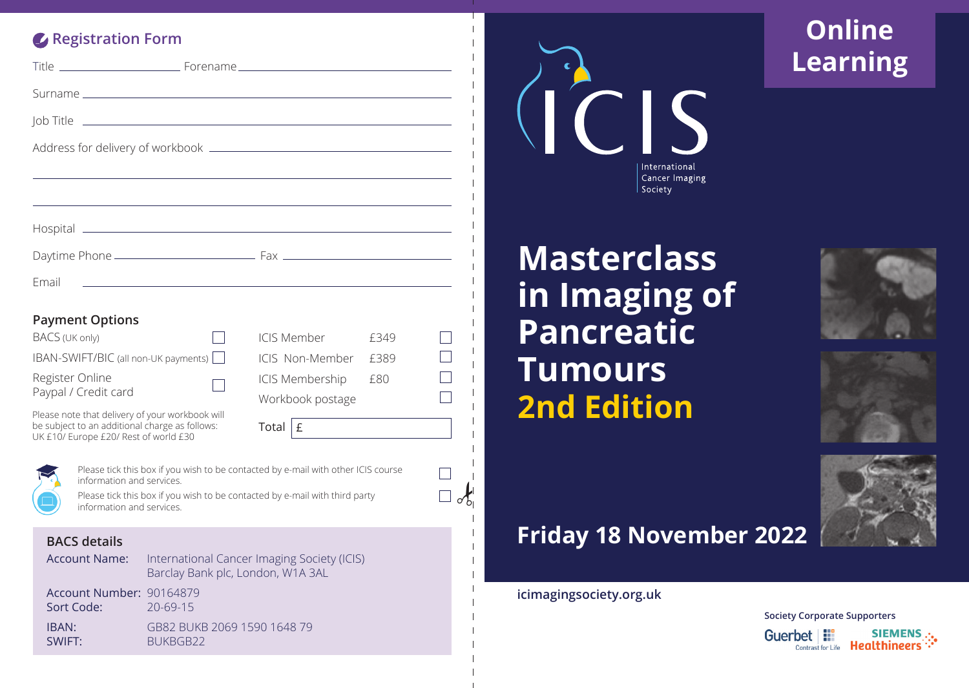## **Registration Form**

| Email                                                                                                                                      |  | the control of the control of the control of the control of the control of the control of the control of the control of the control of the control of the control of the control of the control of the control of the control |      |  |
|--------------------------------------------------------------------------------------------------------------------------------------------|--|-------------------------------------------------------------------------------------------------------------------------------------------------------------------------------------------------------------------------------|------|--|
| <b>Payment Options</b>                                                                                                                     |  |                                                                                                                                                                                                                               |      |  |
| BACS (UK only)                                                                                                                             |  | ICIS Member                                                                                                                                                                                                                   | f349 |  |
| IBAN-SWIFT/BIC (all non-UK payments)                                                                                                       |  | ICIS Non-Member                                                                                                                                                                                                               | £389 |  |
| Register Online                                                                                                                            |  | <b>ICIS Membership</b>                                                                                                                                                                                                        | £80  |  |
| Paypal / Credit card                                                                                                                       |  | Workbook postage                                                                                                                                                                                                              |      |  |
| Please note that delivery of your workbook will<br>be subject to an additional charge as follows:<br>UK £10/ Europe £20/ Rest of world £30 |  | Total<br>£                                                                                                                                                                                                                    |      |  |
|                                                                                                                                            |  |                                                                                                                                                                                                                               |      |  |

Please tick this box if you wish to be contacted by e-mail with other ICIS course information and services.

Please tick this box if you wish to be contacted by e-mail with third party information and services.

#### **BACS details**

| Account Name: . | International Cancer Imaging Society (ICIS) |
|-----------------|---------------------------------------------|
|                 | Barclay Bank plc, London, W1A 3AL           |

Account Number: 90164879 Sort Code: 20-69-15

IBAN:GB82 BUKB 2069 1590 1648 79 SWIFT: BUKBGB22



# **Masterclass in Imaging of Pancreatic Tumours 2nd Edition**

# **Online Learning**







## **Friday 18 November 2022**

**icimagingsociety.org.uk**

 $\alpha$ 

 $\Box$  $\Box$ 

> **Society Corporate Supporters** Guerbet | **III** SIEMENS ... Contrast for Life **Healthineers**